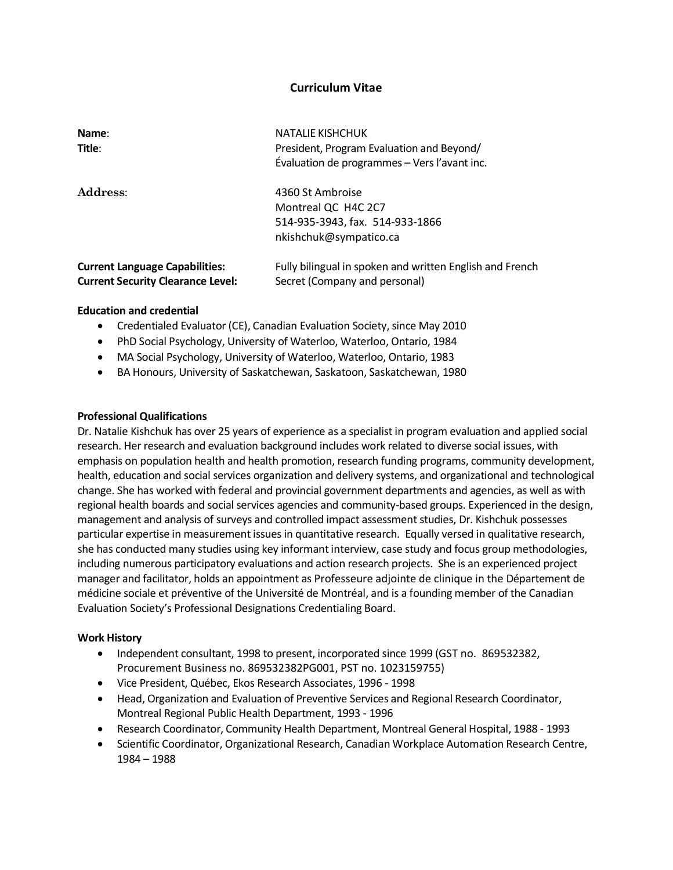# **Curriculum Vitae**

| Name:<br>Title:                                                                   | <b>NATALIE KISHCHUK</b><br>President, Program Evaluation and Beyond/<br>Évaluation de programmes - Vers l'avant inc. |
|-----------------------------------------------------------------------------------|----------------------------------------------------------------------------------------------------------------------|
| <b>Address:</b>                                                                   | 4360 St Ambroise<br>Montreal QC H4C 2C7<br>514-935-3943, fax. 514-933-1866<br>nkishchuk@sympatico.ca                 |
| <b>Current Language Capabilities:</b><br><b>Current Security Clearance Level:</b> | Fully bilingual in spoken and written English and French<br>Secret (Company and personal)                            |

### **Education and credential**

- Credentialed Evaluator (CE), Canadian Evaluation Society, since May 2010
- PhD Social Psychology, University of Waterloo, Waterloo, Ontario, 1984
- MA Social Psychology, University of Waterloo, Waterloo, Ontario, 1983
- BA Honours, University of Saskatchewan, Saskatoon, Saskatchewan, 1980

### **Professional Qualifications**

Dr. Natalie Kishchuk has over 25 years of experience as a specialist in program evaluation and applied social research. Her research and evaluation background includes work related to diverse social issues, with emphasis on population health and health promotion, research funding programs, community development, health, education and social services organization and delivery systems, and organizational and technological change. She has worked with federal and provincial government departments and agencies, as well as with regional health boards and social services agencies and community-based groups. Experienced in the design, management and analysis of surveys and controlled impact assessment studies, Dr. Kishchuk possesses particular expertise in measurement issues in quantitative research. Equally versed in qualitative research, she has conducted many studies using key informant interview, case study and focus group methodologies, including numerous participatory evaluations and action research projects. She is an experienced project manager and facilitator, holds an appointment as Professeure adjointe de clinique in the Département de médicine sociale et préventive of the Université de Montréal, and is a founding member of the Canadian Evaluation Society's Professional Designations Credentialing Board.

## **Work History**

- Independent consultant, 1998 to present, incorporated since 1999 (GST no. 869532382, Procurement Business no. 869532382PG001, PST no. 1023159755)
- Vice President, Québec, Ekos Research Associates, 1996 1998
- Head, Organization and Evaluation of Preventive Services and Regional Research Coordinator, Montreal Regional Public Health Department, 1993 - 1996
- Research Coordinator, Community Health Department, Montreal General Hospital, 1988 1993
- Scientific Coordinator, Organizational Research, Canadian Workplace Automation Research Centre, 1984 – 1988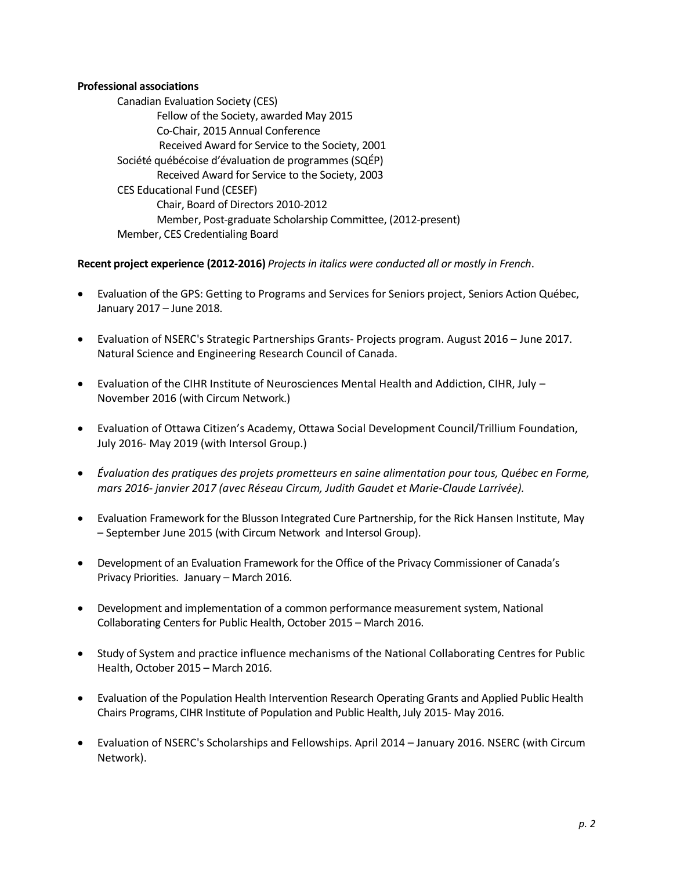## **Professional associations**

Canadian Evaluation Society (CES) Fellow of the Society, awarded May 2015 Co-Chair, 2015 Annual Conference Received Award for Service to the Society, 2001 Société québécoise d'évaluation de programmes (SQÉP) Received Award for Service to the Society, 2003 CES Educational Fund (CESEF) Chair, Board of Directors 2010-2012 Member, Post-graduate Scholarship Committee, (2012-present) Member, CES Credentialing Board

# **Recent project experience (2012-2016)** *Projects in italics were conducted all or mostly in French*.

- Evaluation of the GPS: Getting to Programs and Services for Seniors project, Seniors Action Québec, January 2017 – June 2018.
- Evaluation of NSERC's Strategic Partnerships Grants- Projects program. August 2016 June 2017. Natural Science and Engineering Research Council of Canada.
- Evaluation of the CIHR Institute of Neurosciences Mental Health and Addiction, CIHR, July November 2016 (with Circum Network.)
- Evaluation of Ottawa Citizen's Academy, Ottawa Social Development Council/Trillium Foundation, July 2016- May 2019 (with Intersol Group.)
- *Évaluation des pratiques des projets prometteurs en saine alimentation pour tous, Québec en Forme, mars 2016- janvier 2017 (avec Réseau Circum, Judith Gaudet et Marie-Claude Larrivée).*
- Evaluation Framework for the Blusson Integrated Cure Partnership, for the Rick Hansen Institute, May – September June 2015 (with Circum Network and Intersol Group).
- Development of an Evaluation Framework for the Office of the Privacy Commissioner of Canada's Privacy Priorities. January – March 2016.
- Development and implementation of a common performance measurement system, National Collaborating Centers for Public Health, October 2015 – March 2016.
- Study of System and practice influence mechanisms of the National Collaborating Centres for Public Health, October 2015 – March 2016.
- Evaluation of the Population Health Intervention Research Operating Grants and Applied Public Health Chairs Programs, CIHR Institute of Population and Public Health, July 2015- May 2016.
- Evaluation of NSERC's Scholarships and Fellowships. April 2014 January 2016. NSERC (with Circum Network).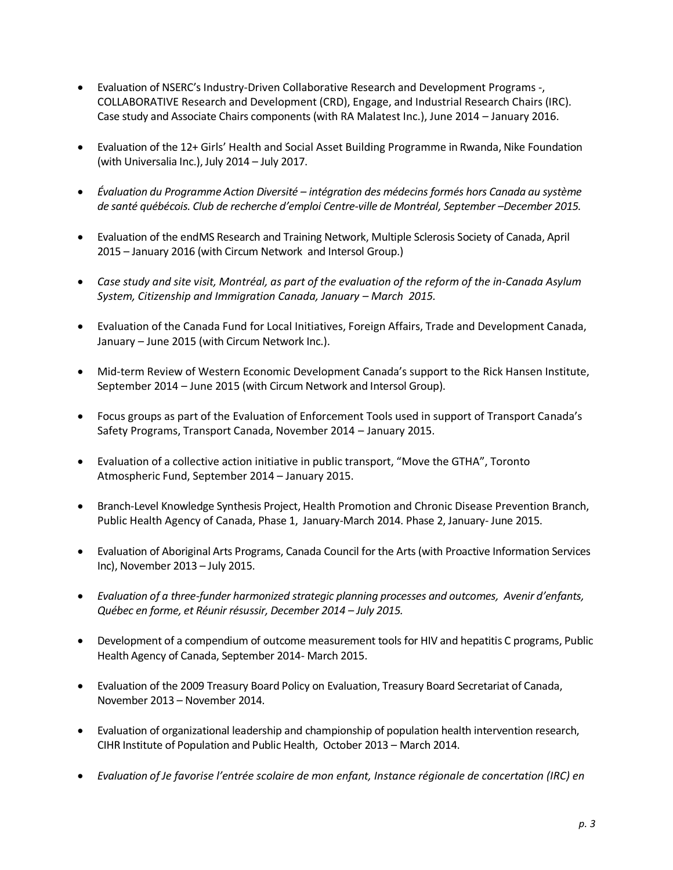- Evaluation of NSERC's Industry-Driven Collaborative Research and Development Programs -, COLLABORATIVE Research and Development (CRD), Engage, and Industrial Research Chairs (IRC). Case study and Associate Chairs components (with RA Malatest Inc.), June 2014 – January 2016.
- Evaluation of the 12+ Girls' Health and Social Asset Building Programme in Rwanda, Nike Foundation (with Universalia Inc.), July 2014 – July 2017.
- *Évaluation du Programme Action Diversité – intégration des médecins formés hors Canada au système de santé québécois. Club de recherche d'emploi Centre-ville de Montréal, September –December 2015.*
- Evaluation of the endMS Research and Training Network, Multiple Sclerosis Society of Canada, April 2015 – January 2016 (with Circum Network and Intersol Group.)
- *Case study and site visit, Montréal, as part of the evaluation of the reform of the in-Canada Asylum System, Citizenship and Immigration Canada, January – March 2015.*
- Evaluation of the Canada Fund for Local Initiatives, Foreign Affairs, Trade and Development Canada, January – June 2015 (with Circum Network Inc.).
- Mid-term Review of Western Economic Development Canada's support to the Rick Hansen Institute, September 2014 – June 2015 (with Circum Network and Intersol Group).
- Focus groups as part of the Evaluation of Enforcement Tools used in support of Transport Canada's Safety Programs, Transport Canada, November 2014 – January 2015.
- Evaluation of a collective action initiative in public transport, "Move the GTHA", Toronto Atmospheric Fund, September 2014 – January 2015.
- Branch-Level Knowledge Synthesis Project, Health Promotion and Chronic Disease Prevention Branch, Public Health Agency of Canada, Phase 1, January-March 2014. Phase 2, January- June 2015.
- Evaluation of Aboriginal Arts Programs, Canada Council for the Arts (with Proactive Information Services Inc), November 2013 – July 2015.
- *Evaluation of a three-funder harmonized strategic planning processes and outcomes, Avenir d'enfants, Québec en forme, et Réunir résussir, December 2014 – July 2015.*
- Development of a compendium of outcome measurement tools for HIV and hepatitis C programs, Public Health Agency of Canada, September 2014- March 2015.
- Evaluation of the 2009 Treasury Board Policy on Evaluation, Treasury Board Secretariat of Canada, November 2013 – November 2014.
- Evaluation of organizational leadership and championship of population health intervention research, CIHR Institute of Population and Public Health, October 2013 – March 2014.
- *Evaluation of Je favorise l'entrée scolaire de mon enfant, Instance régionale de concertation (IRC) en*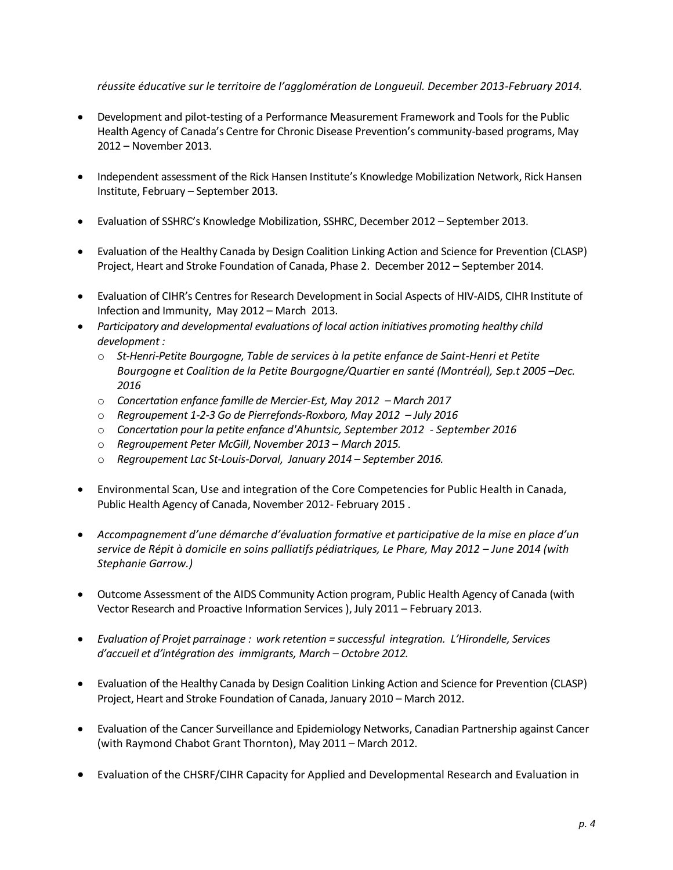*réussite éducative sur le territoire de l'agglomération de Longueuil. December 2013-February 2014.*

- Development and pilot-testing of a Performance Measurement Framework and Tools for the Public Health Agency of Canada's Centre for Chronic Disease Prevention's community-based programs, May 2012 – November 2013.
- Independent assessment of the Rick Hansen Institute's Knowledge Mobilization Network, Rick Hansen Institute, February – September 2013.
- Evaluation of SSHRC's Knowledge Mobilization, SSHRC, December 2012 September 2013.
- Evaluation of the Healthy Canada by Design Coalition Linking Action and Science for Prevention (CLASP) Project, Heart and Stroke Foundation of Canada, Phase 2. December 2012 – September 2014.
- Evaluation of CIHR's Centres for Research Development in Social Aspects of HIV-AIDS, CIHR Institute of Infection and Immunity, May 2012 – March 2013.
- *Participatory and developmental evaluations of local action initiatives promoting healthy child development :*
	- o *St-Henri-Petite Bourgogne, Table de services à la petite enfance de Saint-Henri et Petite Bourgogne et Coalition de la Petite Bourgogne/Quartier en santé (Montréal), Sep.t 2005 –Dec. 2016*
	- o *Concertation enfance famille de Mercier-Est, May 2012 – March 2017*
	- o *Regroupement 1-2-3 Go de Pierrefonds-Roxboro, May 2012 – July 2016*
	- o *Concertation pour la petite enfance d'Ahuntsic, September 2012 - September 2016*
	- o *Regroupement Peter McGill, November 2013 – March 2015.*
	- o *Regroupement Lac St-Louis-Dorval, January 2014 – September 2016.*
- Environmental Scan, Use and integration of the Core Competencies for Public Health in Canada, Public Health Agency of Canada, November 2012- February 2015 .
- *Accompagnement d'une démarche d'évaluation formative et participative de la mise en place d'un service de Répit à domicile en soins palliatifs pédiatriques, Le Phare, May 2012 – June 2014 (with Stephanie Garrow.)*
- Outcome Assessment of the AIDS Community Action program, Public Health Agency of Canada (with Vector Research and Proactive Information Services ), July 2011 – February 2013.
- *Evaluation of Projet parrainage : work retention = successful integration. L'Hirondelle, Services d'accueil et d'intégration des immigrants, March – Octobre 2012.*
- Evaluation of the Healthy Canada by Design Coalition Linking Action and Science for Prevention (CLASP) Project, Heart and Stroke Foundation of Canada, January 2010 – March 2012.
- Evaluation of the Cancer Surveillance and Epidemiology Networks, Canadian Partnership against Cancer (with Raymond Chabot Grant Thornton), May 2011 – March 2012.
- Evaluation of the CHSRF/CIHR Capacity for Applied and Developmental Research and Evaluation in